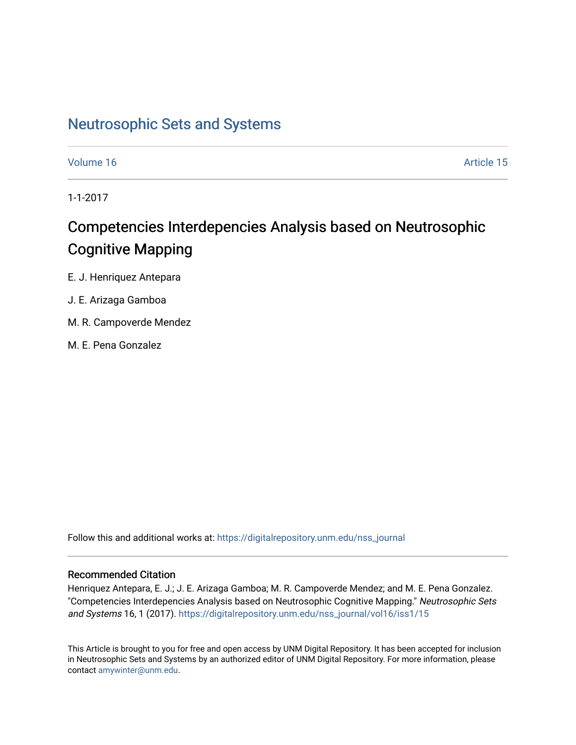# [Neutrosophic Sets and Systems](https://digitalrepository.unm.edu/nss_journal)

[Volume 16](https://digitalrepository.unm.edu/nss_journal/vol16) Article 15

1-1-2017

# Competencies Interdepencies Analysis based on Neutrosophic Cognitive Mapping

E. J. Henriquez Antepara

# J. E. Arizaga Gamboa

- M. R. Campoverde Mendez
- M. E. Pena Gonzalez

Follow this and additional works at: [https://digitalrepository.unm.edu/nss\\_journal](https://digitalrepository.unm.edu/nss_journal?utm_source=digitalrepository.unm.edu%2Fnss_journal%2Fvol16%2Fiss1%2F15&utm_medium=PDF&utm_campaign=PDFCoverPages) 

# Recommended Citation

Henriquez Antepara, E. J.; J. E. Arizaga Gamboa; M. R. Campoverde Mendez; and M. E. Pena Gonzalez. "Competencies Interdepencies Analysis based on Neutrosophic Cognitive Mapping." Neutrosophic Sets and Systems 16, 1 (2017). [https://digitalrepository.unm.edu/nss\\_journal/vol16/iss1/15](https://digitalrepository.unm.edu/nss_journal/vol16/iss1/15?utm_source=digitalrepository.unm.edu%2Fnss_journal%2Fvol16%2Fiss1%2F15&utm_medium=PDF&utm_campaign=PDFCoverPages)

This Article is brought to you for free and open access by UNM Digital Repository. It has been accepted for inclusion in Neutrosophic Sets and Systems by an authorized editor of UNM Digital Repository. For more information, please contact [amywinter@unm.edu](mailto:amywinter@unm.edu).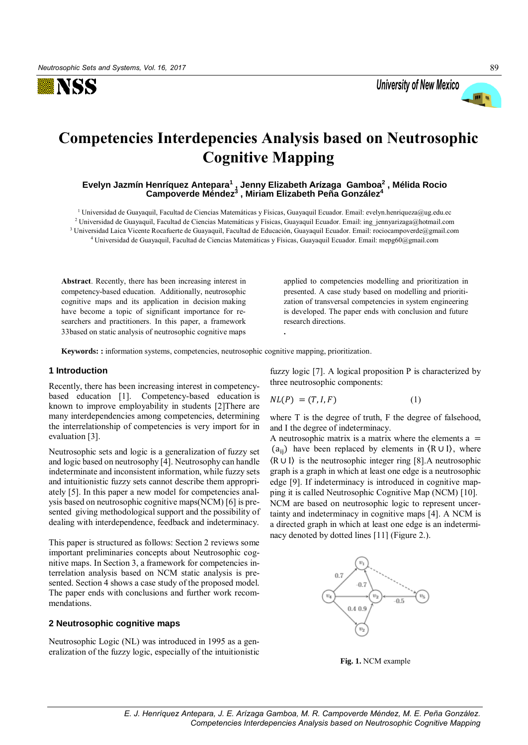



# **Competencies Interdepencies Analysis based on Neutrosophic Cognitive Mapping**

**Evelyn Jazmín Henríquez Antepara<sup>1</sup> , Jenny Elizabeth Arízaga Gamboa<sup>2</sup> , Mélida Rocio Campoverde Méndez<sup>3</sup> , Miriam Elizabeth Peña González<sup>4</sup>** 

<sup>1</sup> Universidad de Guayaquil, Facultad de Ciencias Matemáticas y Físicas, Guayaquil Ecuador. Email: evelyn.henriqueza@ug.edu.ec 2 Universidad de Guayaquil, Facultad de Ciencias Matemáticas y Físicas, Guayaquil Ecuador. Email: ing\_jennyarizaga@hotmail.com <sup>3</sup> Universidad Laica Vicente Rocafuerte de Guayaquil, Facultad de Educación, Guayaquil Ecuador. E[mail: rociocampover](mailto:ing_jennyarizaga)de@gmail.com <sup>4</sup> Universidad de Guayaquil, Facultad de Ciencias Matemáticas y Físicas, Guayaquil Ecuador. Email: mepg60@gmail.com

**.**

**Abstract**. Recently, there has been increasing interest in competency-based education. Additionally, neutrosophic cognitive maps and its application in decision making have become a topic of significant importance for researchers and practitioners. In this paper, a framework 33based on static analysis of neutrosophic cognitive maps

applied to competencies modelling and prioritization in presented. A case study based on modelling and prioritization of transversal competencies in system engineering is developed. The paper ends with conclusion and future research directions.

**Keywords: :** information systems, competencies, neutrosophic cognitive mapping, prioritization.

#### **1 Introduction**

Recently, there has been increasing interest in competencybased education [1]. Competency-based education is known to improve employability in students [2]There are many interdependencies among competencies, determining the interrelationship of competencies is very import for in evaluation [3].

Neutrosophic sets and logic is a generalization of fuzzy set and logic based on neutrosophy [4]. Neutrosophy can handle indeterminate and inconsistent information, while fuzzy sets and intuitionistic fuzzy sets cannot describe them appropriately [5]. In this paper a new model for competencies analysis based on neutrosophic cognitive maps(NCM) [6] is presented giving methodological support and the possibility of dealing with interdependence, feedback and indeterminacy.

This paper is structured as follows: Section 2 reviews some important preliminaries concepts about Neutrosophic cognitive maps. In Section 3, a framework for competencies interrelation analysis based on NCM static analysis is presented. Section 4 shows a case study of the proposed model. The paper ends with conclusions and further work recommendations.

#### **2 Neutrosophic cognitive maps**

Neutrosophic Logic (NL) was introduced in 1995 as a generalization of the fuzzy logic, especially of the intuitionistic fuzzy logic [7]. A logical proposition P is characterized by three neutrosophic components:

$$
NL(P) = (T, I, F) \tag{1}
$$

where T is the degree of truth, F the degree of falsehood, and I the degree of indeterminacy.

A neutrosophic matrix is a matrix where the elements  $a =$ (a<sub>ii</sub>) have been replaced by elements in  $(R \cup I)$ , where 〈R ∪ I〉 is the neutrosophic integer ring [8].A neutrosophic graph is a graph in which at least one edge is a neutrosophic edge [9]. If indeterminacy is introduced in cognitive mapping it is called Neutrosophic Cognitive Map (NCM) [10]. NCM are based on neutrosophic logic to represent uncertainty and indeterminacy in cognitive maps [4]. A NCM is a directed graph in which at least one edge is an indeterminacy denoted by dotted lines [11] (Figure 2.).



**Fig. 1.** NCM example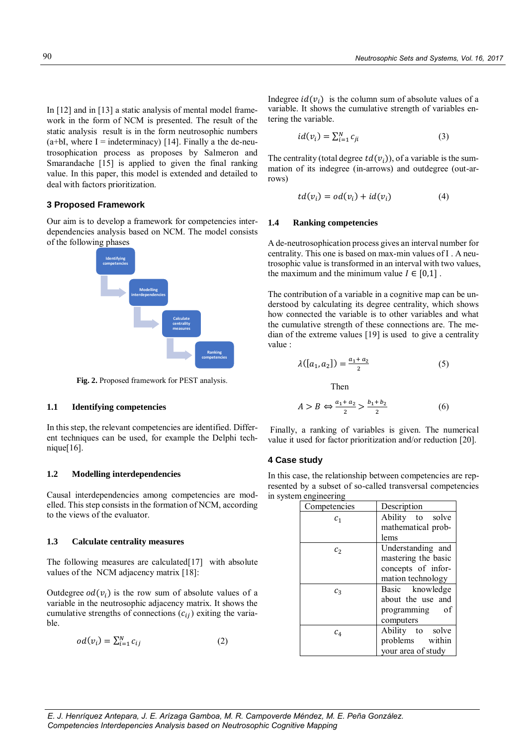In [12] and in [13] a static analysis of mental model framework in the form of NCM is presented. The result of the static analysis result is in the form neutrosophic numbers  $(a+bI, where I = indeterminacy)$  [14]. Finally a the de-neutrosophication process as proposes by Salmeron and Smarandache [15] is applied to given the final ranking value. In this paper, this model is extended and detailed to deal with factors prioritization.

# **3 Proposed Framework**

Our aim is to develop a framework for competencies interdependencies analysis based on NCM. The model consists of the following phases



**Fig. 2.** Proposed framework for PEST analysis.

### **1.1 Identifying competencies**

In this step, the relevant competencies are identified. Different techniques can be used, for example the Delphi technique $[16]$ .

#### **1.2 Modelling interdependencies**

Causal interdependencies among competencies are modelled. This step consists in the formation of NCM, according to the views of the evaluator.

#### **1.3 Calculate centrality measures**

The following measures are calculated<sup>[17]</sup> with absolute values of the NCM adjacency matrix [18]:

Outdegree  $od(v_i)$  is the row sum of absolute values of a variable in the neutrosophic adjacency matrix. It shows the cumulative strengths of connections  $(c_{ij})$  exiting the variable.

$$
od(v_i) = \sum_{i=1}^{N} c_{ij}
$$
 (2)

Indegree  $id(v_i)$  is the column sum of absolute values of a variable. It shows the cumulative strength of variables entering the variable.

$$
id(v_i) = \sum_{i=1}^{N} c_{ji}
$$
 (3)

The centrality (total degree  $td(v_i)$ ), of a variable is the summation of its indegree (in-arrows) and outdegree (out-arrows)

$$
td(v_i) = od(v_i) + id(v_i)
$$
 (4)

#### **1.4 Ranking competencies**

A de-neutrosophication process gives an interval number for centrality. This one is based on max-min values of I . A neutrosophic value is transformed in an interval with two values, the maximum and the minimum value  $I \in [0,1]$ .

The contribution of a variable in a cognitive map can be understood by calculating its degree centrality, which shows how connected the variable is to other variables and what the cumulative strength of these connections are. The median of the extreme values [19] is used to give a centrality value :

$$
\lambda([a_1, a_2]) = \frac{a_1 + a_2}{2} \tag{5}
$$

Then

$$
A > B \Leftrightarrow \frac{a_1 + a_2}{2} > \frac{b_1 + b_2}{2} \tag{6}
$$

Finally, a ranking of variables is given. The numerical value it used for factor prioritization and/or reduction [20].

### **4 Case study**

In this case, the relationship between competencies are represented by a subset of so-called transversal competencies in system engineering

| Competencies | Description         |
|--------------|---------------------|
| $c_{1}$      | Ability to solve    |
|              | mathematical prob-  |
|              | lems                |
| $c_{2}$      | Understanding and   |
|              | mastering the basic |
|              | concepts of infor-  |
|              | mation technology   |
| $c_{3}$      | Basic knowledge     |
|              | about the use and   |
|              | programming of      |
|              | computers           |
| $c_4$        | Ability to solve    |
|              | problems within     |
|              | your area of study  |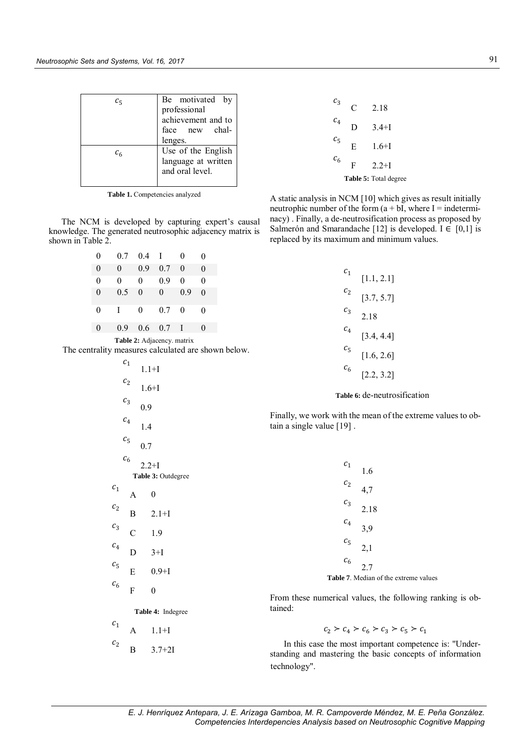| $c_{5}$      | Be motivated by     |
|--------------|---------------------|
|              | professional        |
|              |                     |
|              | achievement and to  |
|              | face new chal-      |
|              | lenges.             |
| $c_{\kappa}$ | Use of the English  |
|              | language at written |
|              | and oral level.     |
|              |                     |

**Table 1.** Competencies analyzed

The NCM is developed by capturing expert's causal knowledge. The generated neutrosophic adjacency matrix is shown in Table 2.

| 0                          | 0.7      | 0.4      | $\mathbf{I}$ | 0        | 0        |
|----------------------------|----------|----------|--------------|----------|----------|
| $\theta$                   | $\theta$ | 0.9      | 0.7          | $\theta$ | $\Omega$ |
| $\theta$                   | 0        | $\theta$ | 0.9          | 0        | 0        |
| $\theta$                   | 0.5      | $\theta$ | $\theta$     | 0.9      | $\Omega$ |
| 0                          | Τ        | $\theta$ | 0.7          | $\theta$ | 0        |
| $\theta$                   | 0.9      | 0.6      | 0.7          | T        | 0        |
| Table 2: Adjacency. matrix |          |          |              |          |          |

The centrality measures calculated are shown below.

|                   | c <sub>1</sub> |                    |
|-------------------|----------------|--------------------|
|                   |                | $1.1 + I$          |
|                   | c <sub>2</sub> | $1.6 + I$          |
|                   | $c_3$          | 0.9                |
|                   | $c_4$          | 1.4                |
|                   | $c_{5}$        | 0.7                |
|                   | c <sub>6</sub> | $2.2 + I$          |
|                   |                | Table 3: Outdegree |
| c <sub>1</sub>    | A              | $\boldsymbol{0}$   |
| c <sub>2</sub>    | B              | $2.1 + I$          |
| $c_3$             | $\mathsf{C}$   | 1.9                |
| $c_4$             | D              | $3+I$              |
| $c_{5}$           | E              | $0.9 + I$          |
| c <sub>6</sub>    | F              | $\overline{0}$     |
| Table 4: Indegree |                |                    |
| c <sub>1</sub>    | A              | $1.1 + I$          |
| c <sub>2</sub>    |                |                    |

B 3.7+2I

|   | <b>Table 5:</b> Total degree |
|---|------------------------------|
| F | $2.2 + I$                    |
| E | $1.6 + I$                    |
| D | $3.4 + I$                    |
| C | 2.18                         |
|   |                              |

A static analysis in NCM [10] which gives as result initially neutrophic number of the form  $(a + bI)$ , where I = indeterminacy) . Finally, a de-neutrosification process as proposed by Salmerón and Smarandache [12] is developed. I  $\in$  [0,1] is replaced by its maximum and minimum values.

| $\mathcal{C}_1$              | [1.1, 2.1] |  |
|------------------------------|------------|--|
| $c_2$                        | [3.7, 5.7] |  |
| $c_3$                        | 2.18       |  |
| $c_4$                        | [3.4, 4.4] |  |
| $c_{5}$                      | [1.6, 2.6] |  |
| $c_{6}$                      | [2.2, 3.2] |  |
| Table 6: de-neutrosification |            |  |

Finally, we work with the mean of the extreme values to obtain a single value [19] .

| $c_1$ 1.6                                    |            |
|----------------------------------------------|------------|
| $c_2$ 4,7                                    |            |
|                                              | $c_3$ 2.18 |
| $c_4$ 3,9                                    |            |
| $c_5$ 2,1                                    |            |
| $c_{6}$ 2.7                                  |            |
| <b>Table 7.</b> Median of the extreme values |            |

From these numerical values, the following ranking is obtained:

 $c_2 > c_4 > c_6 > c_3 > c_5 > c_1$ 

In this case the most important competence is: "Understanding and mastering the basic concepts of information technology".